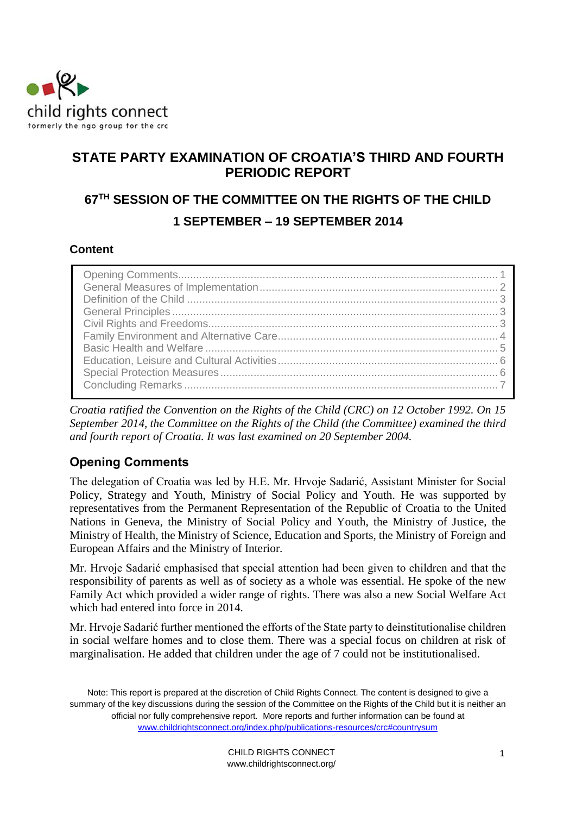

# **STATE PARTY EXAMINATION OF CROATIA'S THIRD AND FOURTH PERIODIC REPORT**

# **67TH SESSION OF THE COMMITTEE ON THE RIGHTS OF THE CHILD 1 SEPTEMBER – 19 SEPTEMBER 2014**

### **Content**

*Croatia ratified the Convention on the Rights of the Child (CRC) on 12 October 1992. On 15 September 2014, the Committee on the Rights of the Child (the Committee) examined the third and fourth report of Croatia. It was last examined on 20 September 2004.* 

# <span id="page-0-0"></span>**Opening Comments**

The delegation of Croatia was led by H.E. Mr. Hrvoje Sadarić, Assistant Minister for Social Policy, Strategy and Youth, Ministry of Social Policy and Youth. He was supported by representatives from the Permanent Representation of the Republic of Croatia to the United Nations in Geneva, the Ministry of Social Policy and Youth, the Ministry of Justice, the Ministry of Health, the Ministry of Science, Education and Sports, the Ministry of Foreign and European Affairs and the Ministry of Interior.

Mr. Hrvoje Sadarić emphasised that special attention had been given to children and that the responsibility of parents as well as of society as a whole was essential. He spoke of the new Family Act which provided a wider range of rights. There was also a new Social Welfare Act which had entered into force in 2014.

Mr. Hrvoje Sadarić further mentioned the efforts of the State party to deinstitutionalise children in social welfare homes and to close them. There was a special focus on children at risk of marginalisation. He added that children under the age of 7 could not be institutionalised.

Note: This report is prepared at the discretion of Child Rights Connect. The content is designed to give a summary of the key discussions during the session of the Committee on the Rights of the Child but it is neither an official nor fully comprehensive report. More reports and further information can be found at [www.childrightsconnect.org/index.php/publications-resources/crc#countrysum](http://www.childrightsconnect.org/index.php/publications-resources/crc#countrysum)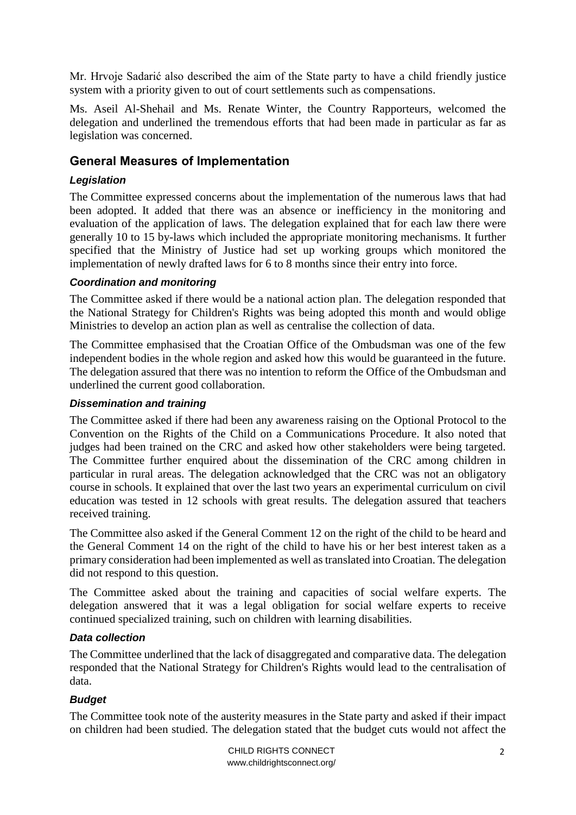Mr. Hrvoje Sadarić also described the aim of the State party to have a child friendly justice system with a priority given to out of court settlements such as compensations.

Ms. Aseil Al-Shehail and Ms. Renate Winter, the Country Rapporteurs, welcomed the delegation and underlined the tremendous efforts that had been made in particular as far as legislation was concerned.

# <span id="page-1-0"></span>**General Measures of Implementation**

### *Legislation*

The Committee expressed concerns about the implementation of the numerous laws that had been adopted. It added that there was an absence or inefficiency in the monitoring and evaluation of the application of laws. The delegation explained that for each law there were generally 10 to 15 by-laws which included the appropriate monitoring mechanisms. It further specified that the Ministry of Justice had set up working groups which monitored the implementation of newly drafted laws for 6 to 8 months since their entry into force.

#### *Coordination and monitoring*

The Committee asked if there would be a national action plan. The delegation responded that the National Strategy for Children's Rights was being adopted this month and would oblige Ministries to develop an action plan as well as centralise the collection of data.

The Committee emphasised that the Croatian Office of the Ombudsman was one of the few independent bodies in the whole region and asked how this would be guaranteed in the future. The delegation assured that there was no intention to reform the Office of the Ombudsman and underlined the current good collaboration.

#### *Dissemination and training*

The Committee asked if there had been any awareness raising on the Optional Protocol to the Convention on the Rights of the Child on a Communications Procedure. It also noted that judges had been trained on the CRC and asked how other stakeholders were being targeted. The Committee further enquired about the dissemination of the CRC among children in particular in rural areas. The delegation acknowledged that the CRC was not an obligatory course in schools. It explained that over the last two years an experimental curriculum on civil education was tested in 12 schools with great results. The delegation assured that teachers received training.

The Committee also asked if the General Comment 12 on the right of the child to be heard and the General Comment 14 on the right of the child to have his or her best interest taken as a primary consideration had been implemented as well as translated into Croatian. The delegation did not respond to this question.

The Committee asked about the training and capacities of social welfare experts. The delegation answered that it was a legal obligation for social welfare experts to receive continued specialized training, such on children with learning disabilities.

#### *Data collection*

The Committee underlined that the lack of disaggregated and comparative data. The delegation responded that the National Strategy for Children's Rights would lead to the centralisation of data.

### *Budget*

The Committee took note of the austerity measures in the State party and asked if their impact on children had been studied. The delegation stated that the budget cuts would not affect the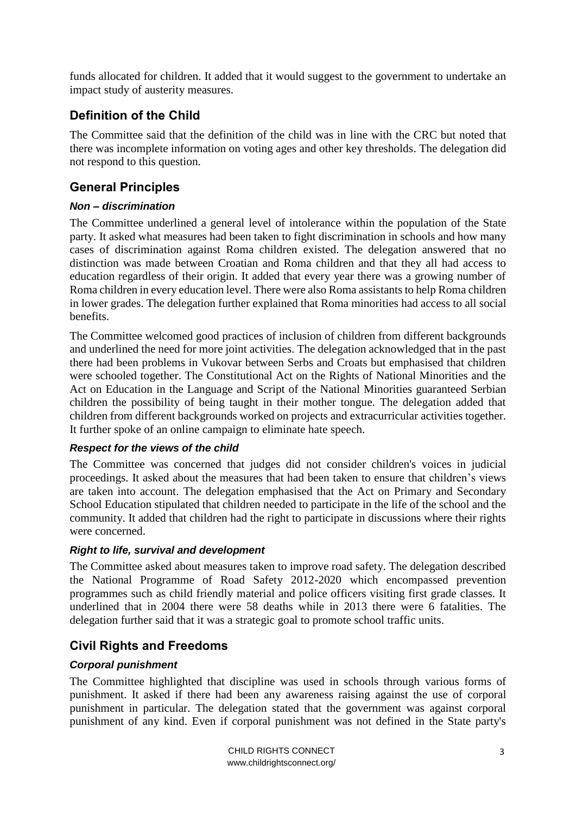funds allocated for children. It added that it would suggest to the government to undertake an impact study of austerity measures.

# <span id="page-2-0"></span>**Definition of the Child**

The Committee said that the definition of the child was in line with the CRC but noted that there was incomplete information on voting ages and other key thresholds. The delegation did not respond to this question.

# <span id="page-2-1"></span>**General Principles**

### *Non – discrimination*

The Committee underlined a general level of intolerance within the population of the State party. It asked what measures had been taken to fight discrimination in schools and how many cases of discrimination against Roma children existed. The delegation answered that no distinction was made between Croatian and Roma children and that they all had access to education regardless of their origin. It added that every year there was a growing number of Roma children in every education level. There were also Roma assistants to help Roma children in lower grades. The delegation further explained that Roma minorities had access to all social benefits.

The Committee welcomed good practices of inclusion of children from different backgrounds and underlined the need for more joint activities. The delegation acknowledged that in the past there had been problems in Vukovar between Serbs and Croats but emphasised that children were schooled together. The Constitutional Act on the Rights of National Minorities and the Act on Education in the Language and Script of the National Minorities guaranteed Serbian children the possibility of being taught in their mother tongue. The delegation added that children from different backgrounds worked on projects and extracurricular activities together. It further spoke of an online campaign to eliminate hate speech.

#### *Respect for the views of the child*

The Committee was concerned that judges did not consider children's voices in judicial proceedings. It asked about the measures that had been taken to ensure that children's views are taken into account. The delegation emphasised that the Act on Primary and Secondary School Education stipulated that children needed to participate in the life of the school and the community. It added that children had the right to participate in discussions where their rights were concerned.

### *Right to life, survival and development*

The Committee asked about measures taken to improve road safety. The delegation described the National Programme of Road Safety 2012-2020 which encompassed prevention programmes such as child friendly material and police officers visiting first grade classes. It underlined that in 2004 there were 58 deaths while in 2013 there were 6 fatalities. The delegation further said that it was a strategic goal to promote school traffic units.

# <span id="page-2-2"></span>**Civil Rights and Freedoms**

### *Corporal punishment*

The Committee highlighted that discipline was used in schools through various forms of punishment. It asked if there had been any awareness raising against the use of corporal punishment in particular. The delegation stated that the government was against corporal punishment of any kind. Even if corporal punishment was not defined in the State party's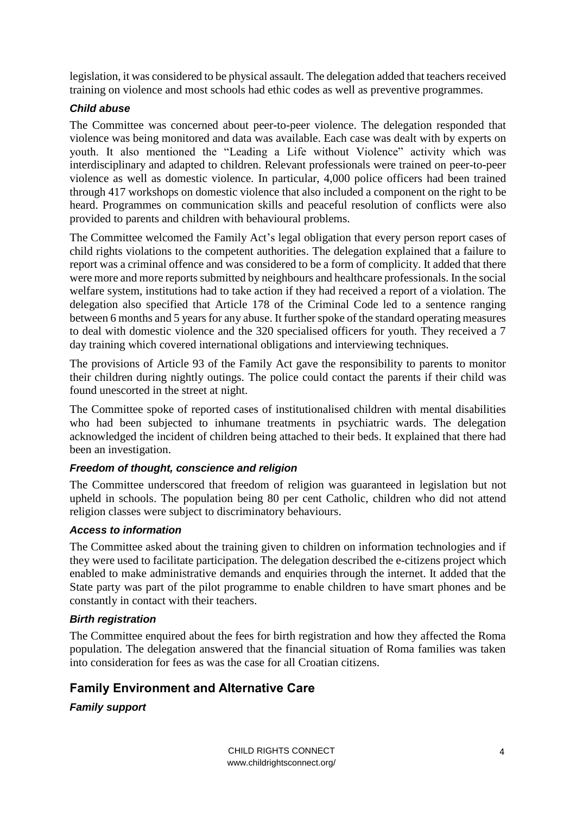legislation, it was considered to be physical assault. The delegation added that teachers received training on violence and most schools had ethic codes as well as preventive programmes.

#### *Child abuse*

The Committee was concerned about peer-to-peer violence. The delegation responded that violence was being monitored and data was available. Each case was dealt with by experts on youth. It also mentioned the "Leading a Life without Violence" activity which was interdisciplinary and adapted to children. Relevant professionals were trained on peer-to-peer violence as well as domestic violence. In particular, 4,000 police officers had been trained through 417 workshops on domestic violence that also included a component on the right to be heard. Programmes on communication skills and peaceful resolution of conflicts were also provided to parents and children with behavioural problems.

The Committee welcomed the Family Act's legal obligation that every person report cases of child rights violations to the competent authorities. The delegation explained that a failure to report was a criminal offence and was considered to be a form of complicity. It added that there were more and more reports submitted by neighbours and healthcare professionals. In the social welfare system, institutions had to take action if they had received a report of a violation. The delegation also specified that Article 178 of the Criminal Code led to a sentence ranging between 6 months and 5 years for any abuse. It further spoke of the standard operating measures to deal with domestic violence and the 320 specialised officers for youth. They received a 7 day training which covered international obligations and interviewing techniques.

The provisions of Article 93 of the Family Act gave the responsibility to parents to monitor their children during nightly outings. The police could contact the parents if their child was found unescorted in the street at night.

The Committee spoke of reported cases of institutionalised children with mental disabilities who had been subjected to inhumane treatments in psychiatric wards. The delegation acknowledged the incident of children being attached to their beds. It explained that there had been an investigation.

#### *Freedom of thought, conscience and religion*

The Committee underscored that freedom of religion was guaranteed in legislation but not upheld in schools. The population being 80 per cent Catholic, children who did not attend religion classes were subject to discriminatory behaviours.

#### *Access to information*

The Committee asked about the training given to children on information technologies and if they were used to facilitate participation. The delegation described the e-citizens project which enabled to make administrative demands and enquiries through the internet. It added that the State party was part of the pilot programme to enable children to have smart phones and be constantly in contact with their teachers.

#### *Birth registration*

The Committee enquired about the fees for birth registration and how they affected the Roma population. The delegation answered that the financial situation of Roma families was taken into consideration for fees as was the case for all Croatian citizens.

# <span id="page-3-0"></span>**Family Environment and Alternative Care**

*Family support*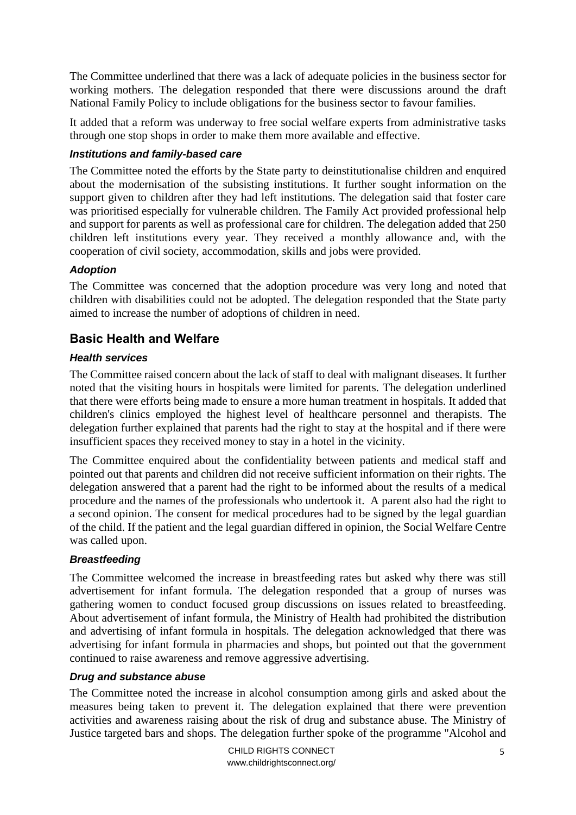The Committee underlined that there was a lack of adequate policies in the business sector for working mothers. The delegation responded that there were discussions around the draft National Family Policy to include obligations for the business sector to favour families.

It added that a reform was underway to free social welfare experts from administrative tasks through one stop shops in order to make them more available and effective.

#### *Institutions and family-based care*

The Committee noted the efforts by the State party to deinstitutionalise children and enquired about the modernisation of the subsisting institutions. It further sought information on the support given to children after they had left institutions. The delegation said that foster care was prioritised especially for vulnerable children. The Family Act provided professional help and support for parents as well as professional care for children. The delegation added that 250 children left institutions every year. They received a monthly allowance and, with the cooperation of civil society, accommodation, skills and jobs were provided.

### *Adoption*

The Committee was concerned that the adoption procedure was very long and noted that children with disabilities could not be adopted. The delegation responded that the State party aimed to increase the number of adoptions of children in need.

# <span id="page-4-0"></span>**Basic Health and Welfare**

#### *Health services*

The Committee raised concern about the lack of staff to deal with malignant diseases. It further noted that the visiting hours in hospitals were limited for parents. The delegation underlined that there were efforts being made to ensure a more human treatment in hospitals. It added that children's clinics employed the highest level of healthcare personnel and therapists. The delegation further explained that parents had the right to stay at the hospital and if there were insufficient spaces they received money to stay in a hotel in the vicinity.

The Committee enquired about the confidentiality between patients and medical staff and pointed out that parents and children did not receive sufficient information on their rights. The delegation answered that a parent had the right to be informed about the results of a medical procedure and the names of the professionals who undertook it. A parent also had the right to a second opinion. The consent for medical procedures had to be signed by the legal guardian of the child. If the patient and the legal guardian differed in opinion, the Social Welfare Centre was called upon.

### *Breastfeeding*

The Committee welcomed the increase in breastfeeding rates but asked why there was still advertisement for infant formula. The delegation responded that a group of nurses was gathering women to conduct focused group discussions on issues related to breastfeeding. About advertisement of infant formula, the Ministry of Health had prohibited the distribution and advertising of infant formula in hospitals. The delegation acknowledged that there was advertising for infant formula in pharmacies and shops, but pointed out that the government continued to raise awareness and remove aggressive advertising.

#### *Drug and substance abuse*

The Committee noted the increase in alcohol consumption among girls and asked about the measures being taken to prevent it. The delegation explained that there were prevention activities and awareness raising about the risk of drug and substance abuse. The Ministry of Justice targeted bars and shops. The delegation further spoke of the programme "Alcohol and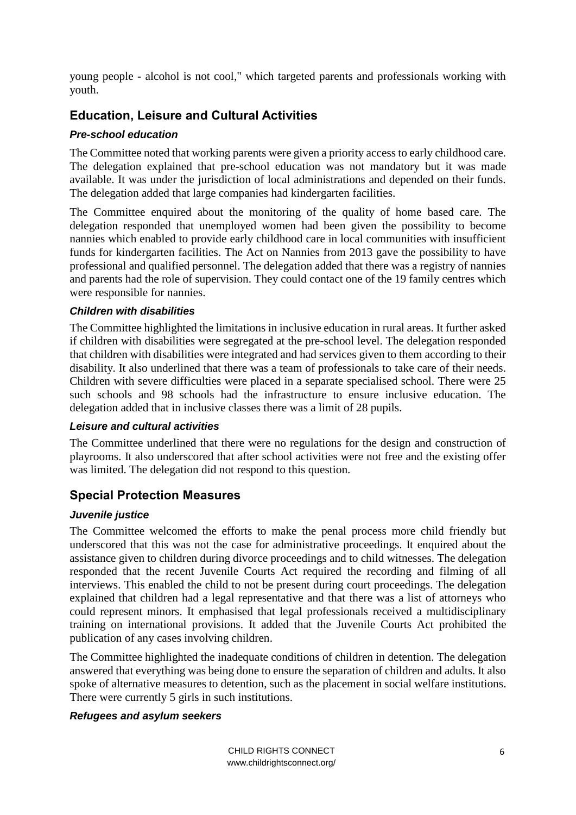young people - alcohol is not cool," which targeted parents and professionals working with youth.

# <span id="page-5-0"></span>**Education, Leisure and Cultural Activities**

#### *Pre-school education*

The Committee noted that working parents were given a priority access to early childhood care. The delegation explained that pre-school education was not mandatory but it was made available. It was under the jurisdiction of local administrations and depended on their funds. The delegation added that large companies had kindergarten facilities.

The Committee enquired about the monitoring of the quality of home based care. The delegation responded that unemployed women had been given the possibility to become nannies which enabled to provide early childhood care in local communities with insufficient funds for kindergarten facilities. The Act on Nannies from 2013 gave the possibility to have professional and qualified personnel. The delegation added that there was a registry of nannies and parents had the role of supervision. They could contact one of the 19 family centres which were responsible for nannies.

#### *Children with disabilities*

The Committee highlighted the limitations in inclusive education in rural areas. It further asked if children with disabilities were segregated at the pre-school level. The delegation responded that children with disabilities were integrated and had services given to them according to their disability. It also underlined that there was a team of professionals to take care of their needs. Children with severe difficulties were placed in a separate specialised school. There were 25 such schools and 98 schools had the infrastructure to ensure inclusive education. The delegation added that in inclusive classes there was a limit of 28 pupils.

#### *Leisure and cultural activities*

The Committee underlined that there were no regulations for the design and construction of playrooms. It also underscored that after school activities were not free and the existing offer was limited. The delegation did not respond to this question.

# <span id="page-5-1"></span>**Special Protection Measures**

#### *Juvenile justice*

The Committee welcomed the efforts to make the penal process more child friendly but underscored that this was not the case for administrative proceedings. It enquired about the assistance given to children during divorce proceedings and to child witnesses. The delegation responded that the recent Juvenile Courts Act required the recording and filming of all interviews. This enabled the child to not be present during court proceedings. The delegation explained that children had a legal representative and that there was a list of attorneys who could represent minors. It emphasised that legal professionals received a multidisciplinary training on international provisions. It added that the Juvenile Courts Act prohibited the publication of any cases involving children.

The Committee highlighted the inadequate conditions of children in detention. The delegation answered that everything was being done to ensure the separation of children and adults. It also spoke of alternative measures to detention, such as the placement in social welfare institutions. There were currently 5 girls in such institutions.

#### *Refugees and asylum seekers*